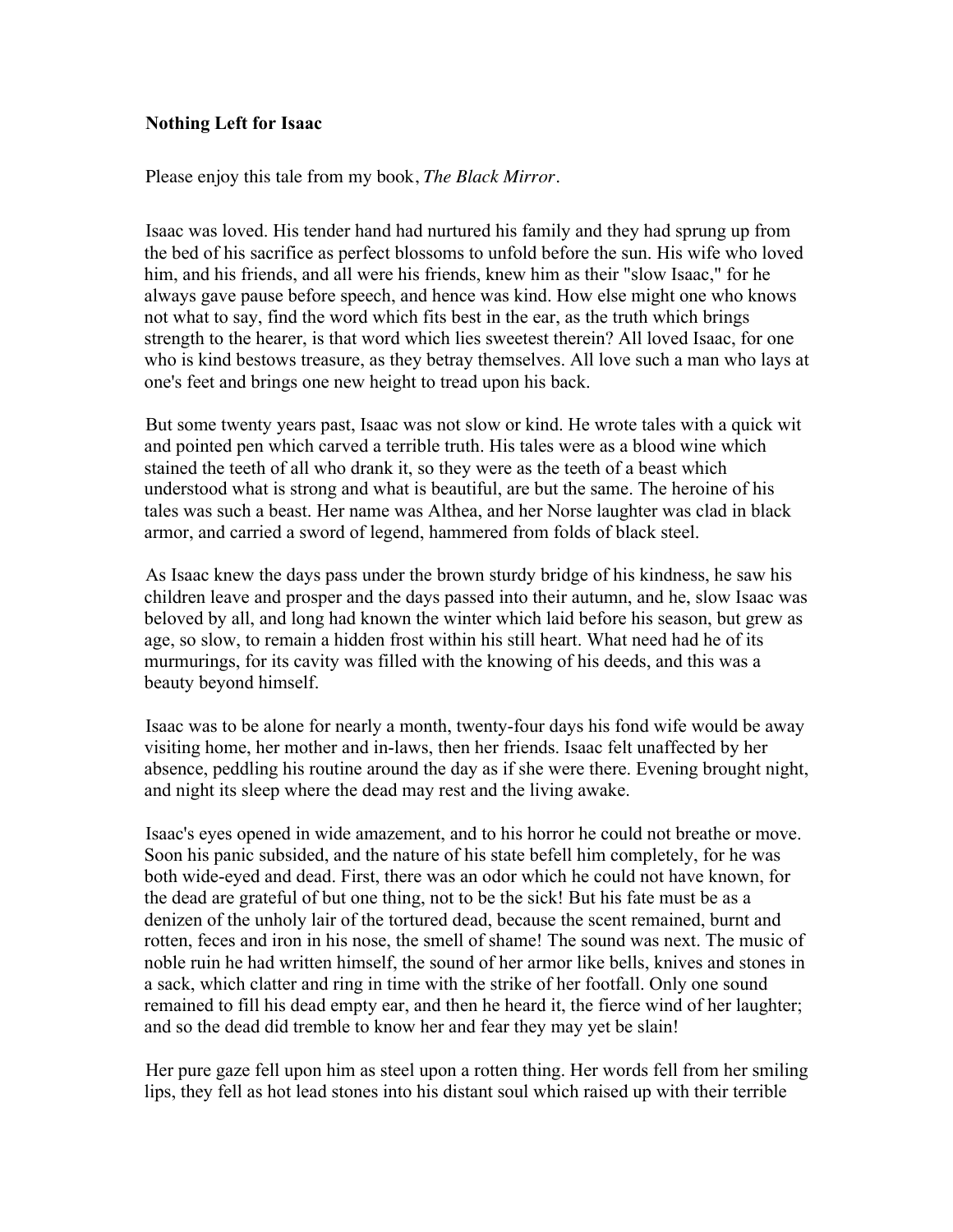## **Nothing Left for Isaac**

Please enjoy this tale from my book, *The Black Mirror*.

Isaac was loved. His tender hand had nurtured his family and they had sprung up from the bed of his sacrifice as perfect blossoms to unfold before the sun. His wife who loved him, and his friends, and all were his friends, knew him as their "slow Isaac," for he always gave pause before speech, and hence was kind. How else might one who knows not what to say, find the word which fits best in the ear, as the truth which brings strength to the hearer, is that word which lies sweetest therein? All loved Isaac, for one who is kind bestows treasure, as they betray themselves. All love such a man who lays at one's feet and brings one new height to tread upon his back.

But some twenty years past, Isaac was not slow or kind. He wrote tales with a quick wit and pointed pen which carved a terrible truth. His tales were as a blood wine which stained the teeth of all who drank it, so they were as the teeth of a beast which understood what is strong and what is beautiful, are but the same. The heroine of his tales was such a beast. Her name was Althea, and her Norse laughter was clad in black armor, and carried a sword of legend, hammered from folds of black steel.

As Isaac knew the days pass under the brown sturdy bridge of his kindness, he saw his children leave and prosper and the days passed into their autumn, and he, slow Isaac was beloved by all, and long had known the winter which laid before his season, but grew as age, so slow, to remain a hidden frost within his still heart. What need had he of its murmurings, for its cavity was filled with the knowing of his deeds, and this was a beauty beyond himself.

Isaac was to be alone for nearly a month, twenty-four days his fond wife would be away visiting home, her mother and in-laws, then her friends. Isaac felt unaffected by her absence, peddling his routine around the day as if she were there. Evening brought night, and night its sleep where the dead may rest and the living awake.

Isaac's eyes opened in wide amazement, and to his horror he could not breathe or move. Soon his panic subsided, and the nature of his state befell him completely, for he was both wide-eyed and dead. First, there was an odor which he could not have known, for the dead are grateful of but one thing, not to be the sick! But his fate must be as a denizen of the unholy lair of the tortured dead, because the scent remained, burnt and rotten, feces and iron in his nose, the smell of shame! The sound was next. The music of noble ruin he had written himself, the sound of her armor like bells, knives and stones in a sack, which clatter and ring in time with the strike of her footfall. Only one sound remained to fill his dead empty ear, and then he heard it, the fierce wind of her laughter; and so the dead did tremble to know her and fear they may yet be slain!

Her pure gaze fell upon him as steel upon a rotten thing. Her words fell from her smiling lips, they fell as hot lead stones into his distant soul which raised up with their terrible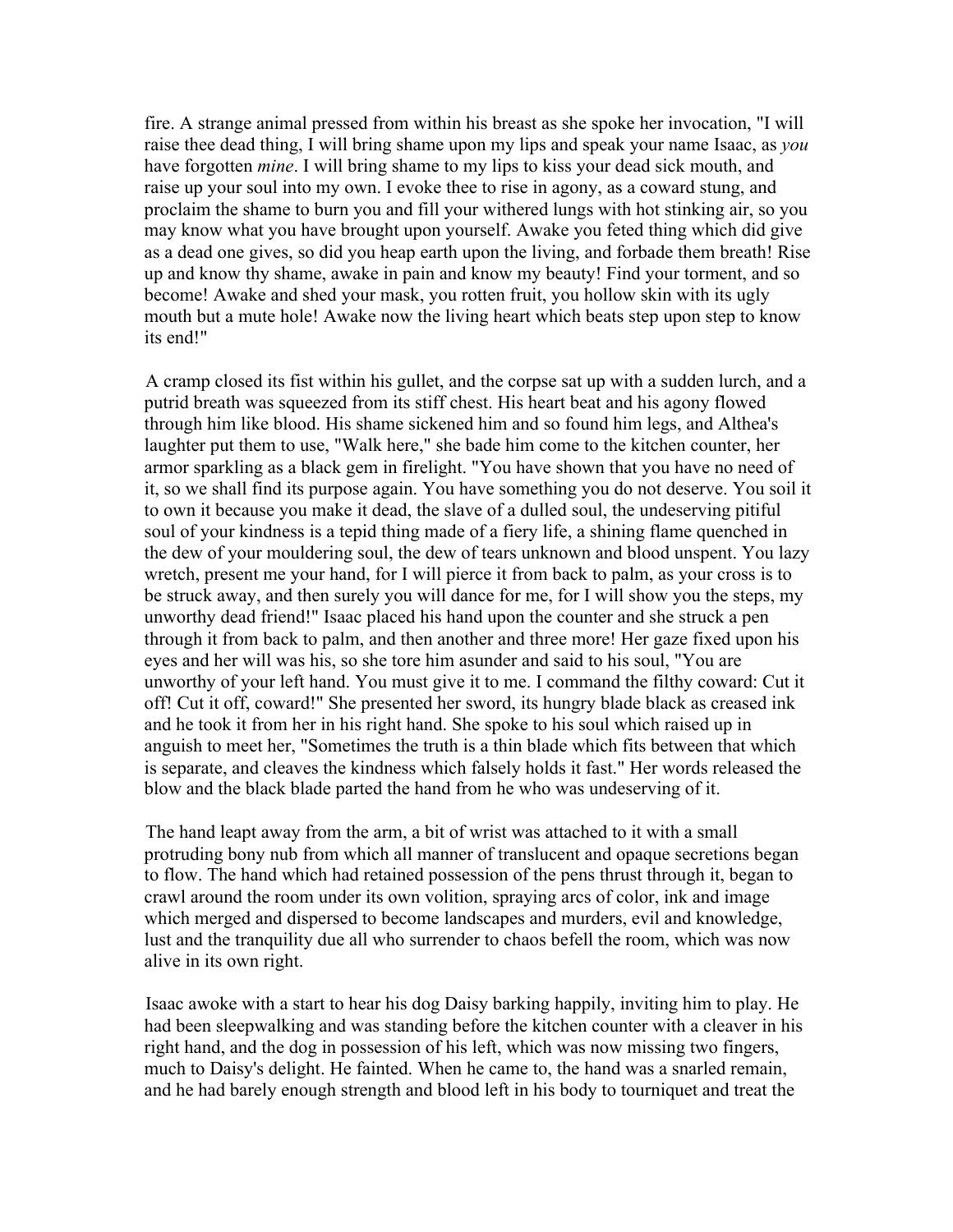fire. A strange animal pressed from within his breast as she spoke her invocation, "I will raise thee dead thing, I will bring shame upon my lips and speak your name Isaac, as *you* have forgotten *mine*. I will bring shame to my lips to kiss your dead sick mouth, and raise up your soul into my own. I evoke thee to rise in agony, as a coward stung, and proclaim the shame to burn you and fill your withered lungs with hot stinking air, so you may know what you have brought upon yourself. Awake you feted thing which did give as a dead one gives, so did you heap earth upon the living, and forbade them breath! Rise up and know thy shame, awake in pain and know my beauty! Find your torment, and so become! Awake and shed your mask, you rotten fruit, you hollow skin with its ugly mouth but a mute hole! Awake now the living heart which beats step upon step to know its end!"

A cramp closed its fist within his gullet, and the corpse sat up with a sudden lurch, and a putrid breath was squeezed from its stiff chest. His heart beat and his agony flowed through him like blood. His shame sickened him and so found him legs, and Althea's laughter put them to use, "Walk here," she bade him come to the kitchen counter, her armor sparkling as a black gem in firelight. "You have shown that you have no need of it, so we shall find its purpose again. You have something you do not deserve. You soil it to own it because you make it dead, the slave of a dulled soul, the undeserving pitiful soul of your kindness is a tepid thing made of a fiery life, a shining flame quenched in the dew of your mouldering soul, the dew of tears unknown and blood unspent. You lazy wretch, present me your hand, for I will pierce it from back to palm, as your cross is to be struck away, and then surely you will dance for me, for I will show you the steps, my unworthy dead friend!" Isaac placed his hand upon the counter and she struck a pen through it from back to palm, and then another and three more! Her gaze fixed upon his eyes and her will was his, so she tore him asunder and said to his soul, "You are unworthy of your left hand. You must give it to me. I command the filthy coward: Cut it off! Cut it off, coward!" She presented her sword, its hungry blade black as creased ink and he took it from her in his right hand. She spoke to his soul which raised up in anguish to meet her, "Sometimes the truth is a thin blade which fits between that which is separate, and cleaves the kindness which falsely holds it fast." Her words released the blow and the black blade parted the hand from he who was undeserving of it.

The hand leapt away from the arm, a bit of wrist was attached to it with a small protruding bony nub from which all manner of translucent and opaque secretions began to flow. The hand which had retained possession of the pens thrust through it, began to crawl around the room under its own volition, spraying arcs of color, ink and image which merged and dispersed to become landscapes and murders, evil and knowledge, lust and the tranquility due all who surrender to chaos befell the room, which was now alive in its own right.

Isaac awoke with a start to hear his dog Daisy barking happily, inviting him to play. He had been sleepwalking and was standing before the kitchen counter with a cleaver in his right hand, and the dog in possession of his left, which was now missing two fingers, much to Daisy's delight. He fainted. When he came to, the hand was a snarled remain, and he had barely enough strength and blood left in his body to tourniquet and treat the